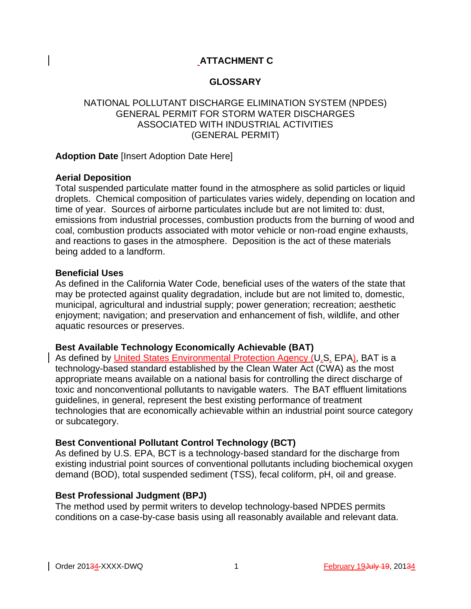# **ATTACHMENT C**

# **GLOSSARY**

# NATIONAL POLLUTANT DISCHARGE ELIMINATION SYSTEM (NPDES) GENERAL PERMIT FOR STORM WATER DISCHARGES ASSOCIATED WITH INDUSTRIAL ACTIVITIES (GENERAL PERMIT)

### **Adoption Date** [Insert Adoption Date Here]

### **Aerial Deposition**

Total suspended particulate matter found in the atmosphere as solid particles or liquid droplets. Chemical composition of particulates varies widely, depending on location and time of year. Sources of airborne particulates include but are not limited to: dust, emissions from industrial processes, combustion products from the burning of wood and coal, combustion products associated with motor vehicle or non-road engine exhausts, and reactions to gases in the atmosphere. Deposition is the act of these materials being added to a landform.

#### **Beneficial Uses**

As defined in the California Water Code, beneficial uses of the waters of the state that may be protected against quality degradation, include but are not limited to, domestic, municipal, agricultural and industrial supply; power generation; recreation; aesthetic enjoyment; navigation; and preservation and enhancement of fish, wildlife, and other aquatic resources or preserves.

# **Best Available Technology Economically Achievable (BAT)**

As defined by United States Environmental Protection Agency (U.S. EPA), BAT is a technology-based standard established by the Clean Water Act (CWA) as the most appropriate means available on a national basis for controlling the direct discharge of toxic and nonconventional pollutants to navigable waters. The BAT effluent limitations guidelines, in general, represent the best existing performance of treatment technologies that are economically achievable within an industrial point source category or subcategory.

# **Best Conventional Pollutant Control Technology (BCT)**

As defined by U.S. EPA, BCT is a technology-based standard for the discharge from existing industrial point sources of conventional pollutants including biochemical oxygen demand (BOD), total suspended sediment (TSS), fecal coliform, pH, oil and grease.

# **Best Professional Judgment (BPJ)**

The method used by permit writers to develop technology-based NPDES permits conditions on a case-by-case basis using all reasonably available and relevant data.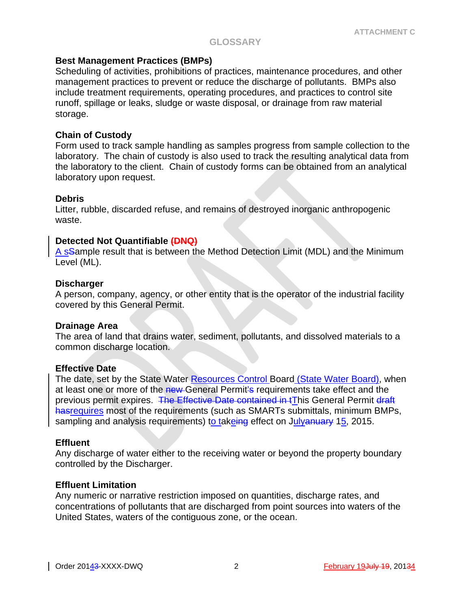### **Best Management Practices (BMPs)**

Scheduling of activities, prohibitions of practices, maintenance procedures, and other management practices to prevent or reduce the discharge of pollutants. BMPs also include treatment requirements, operating procedures, and practices to control site runoff, spillage or leaks, sludge or waste disposal, or drainage from raw material storage.

### **Chain of Custody**

Form used to track sample handling as samples progress from sample collection to the laboratory. The chain of custody is also used to track the resulting analytical data from the laboratory to the client. Chain of custody forms can be obtained from an analytical laboratory upon request.

### **Debris**

Litter, rubble, discarded refuse, and remains of destroyed inorganic anthropogenic waste.

### **Detected Not Quantifiable (DNQ)**

A sSample result that is between the Method Detection Limit (MDL) and the Minimum Level (ML).

### **Discharger**

A person, company, agency, or other entity that is the operator of the industrial facility covered by this General Permit.

#### **Drainage Area**

The area of land that drains water, sediment, pollutants, and dissolved materials to a common discharge location.

#### **Effective Date**

The date, set by the State Water Resources Control Board (State Water Board), when at least one or more of the new-General Permit's requirements take effect and the previous permit expires. The Effective Date contained in tThis General Permit draft hasrequires most of the requirements (such as SMARTs submittals, minimum BMPs, sampling and analysis requirements) to takeing effect on Julyanuary 15, 2015.

#### **Effluent**

Any discharge of water either to the receiving water or beyond the property boundary controlled by the Discharger.

#### **Effluent Limitation**

Any numeric or narrative restriction imposed on quantities, discharge rates, and concentrations of pollutants that are discharged from point sources into waters of the United States, waters of the contiguous zone, or the ocean.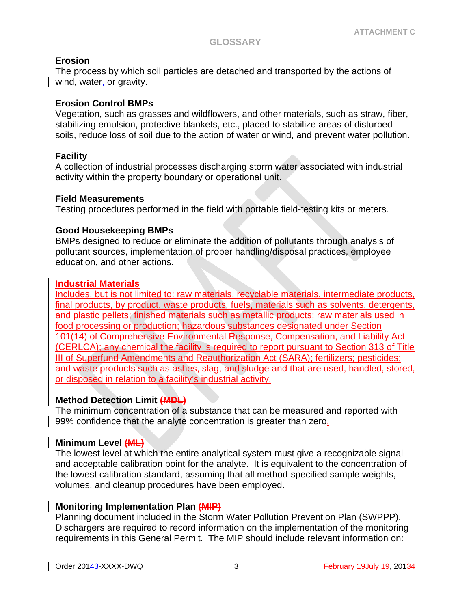### **Erosion**

The process by which soil particles are detached and transported by the actions of wind, water, or gravity.

### **Erosion Control BMPs**

Vegetation, such as grasses and wildflowers, and other materials, such as straw, fiber, stabilizing emulsion, protective blankets, etc., placed to stabilize areas of disturbed soils, reduce loss of soil due to the action of water or wind, and prevent water pollution.

### **Facility**

A collection of industrial processes discharging storm water associated with industrial activity within the property boundary or operational unit.

#### **Field Measurements**

Testing procedures performed in the field with portable field-testing kits or meters.

### **Good Housekeeping BMPs**

BMPs designed to reduce or eliminate the addition of pollutants through analysis of pollutant sources, implementation of proper handling/disposal practices, employee education, and other actions.

### **Industrial Materials**

Includes, but is not limited to: raw materials, recyclable materials, intermediate products, final products, by product, waste products, fuels, materials such as solvents, detergents, and plastic pellets; finished materials such as metallic products; raw materials used in food processing or production; hazardous substances designated under Section 101(14) of Comprehensive Environmental Response, Compensation, and Liability Act (CERLCA); any chemical the facility is required to report pursuant to Section 313 of Title III of Superfund Amendments and Reauthorization Act (SARA); fertilizers; pesticides; and waste products such as ashes, slag, and sludge and that are used, handled, stored, or disposed in relation to a facility's industrial activity.

### **Method Detection Limit (MDL)**

The minimum concentration of a substance that can be measured and reported with 99% confidence that the analyte concentration is greater than zero.

#### **Minimum Level (ML)**

The lowest level at which the entire analytical system must give a recognizable signal and acceptable calibration point for the analyte. It is equivalent to the concentration of the lowest calibration standard, assuming that all method-specified sample weights, volumes, and cleanup procedures have been employed.

#### **Monitoring Implementation Plan (MIP)**

Planning document included in the Storm Water Pollution Prevention Plan (SWPPP). Dischargers are required to record information on the implementation of the monitoring requirements in this General Permit. The MIP should include relevant information on: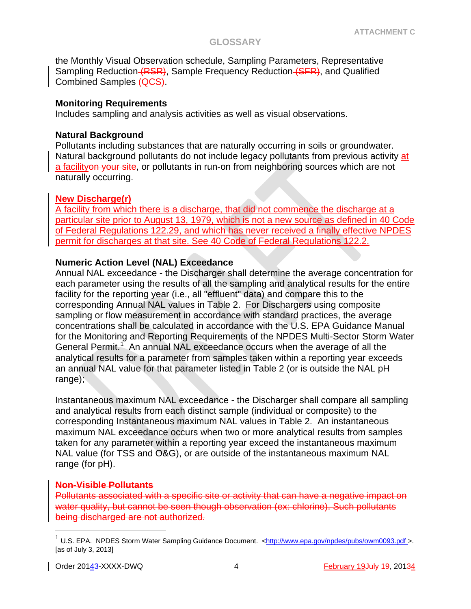the Monthly Visual Observation schedule, Sampling Parameters, Representative Sampling Reduction (RSR), Sample Frequency Reduction (SFR), and Qualified Combined Samples (QCS).

#### **Monitoring Requirements**

Includes sampling and analysis activities as well as visual observations.

### **Natural Background**

Pollutants including substances that are naturally occurring in soils or groundwater. Natural background pollutants do not include legacy pollutants from previous activity at a facilityon your site, or pollutants in run-on from neighboring sources which are not naturally occurring.

# **New Discharge(r)**

A facility from which there is a discharge, that did not commence the discharge at a particular site prior to August 13, 1979, which is not a new source as defined in 40 Code of Federal Regulations 122.29, and which has never received a finally effective NPDES permit for discharges at that site. See 40 Code of Federal Regulations 122.2.

# **Numeric Action Level (NAL) Exceedance**

Annual NAL exceedance - the Discharger shall determine the average concentration for each parameter using the results of all the sampling and analytical results for the entire facility for the reporting year (i.e., all "effluent" data) and compare this to the corresponding Annual NAL values in Table 2. For Dischargers using composite sampling or flow measurement in accordance with standard practices, the average concentrations shall be calculated in accordance with the U.S. EPA Guidance Manual for the Monitoring and Reporting Requirements of the NPDES Multi-Sector Storm Water General Permit.<sup>[1](#page-3-0)</sup> An annual NAL exceedance occurs when the average of all the analytical results for a parameter from samples taken within a reporting year exceeds an annual NAL value for that parameter listed in Table 2 (or is outside the NAL pH range);

Instantaneous maximum NAL exceedance - the Discharger shall compare all sampling and analytical results from each distinct sample (individual or composite) to the corresponding Instantaneous maximum NAL values in Table 2. An instantaneous maximum NAL exceedance occurs when two or more analytical results from samples taken for any parameter within a reporting year exceed the instantaneous maximum NAL value (for TSS and O&G), or are outside of the instantaneous maximum NAL range (for pH).

#### **Non-Visible Pollutants**

Pollutants associated with a specific site or activity that can have a negative impact on water quality, but cannot be seen though observation (ex: chlorine). Such pollutants being discharged are not authorized.

<span id="page-3-0"></span>U.S. EPA. NPDES Storm Water Sampling Guidance Document. [<http://www.epa.gov/npdes/pubs/owm0093.pdf](http://www.epa.gov/npdes/pubs/owm0093.pdf) >. [as of July 3, 2013]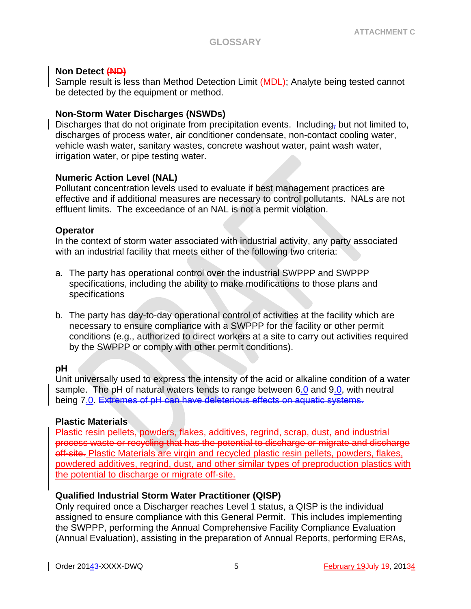### **Non Detect (ND)**

Sample result is less than Method Detection Limit (MDL); Analyte being tested cannot be detected by the equipment or method.

### **Non-Storm Water Discharges (NSWDs)**

Discharges that do not originate from precipitation events. Including, but not limited to, discharges of process water, air conditioner condensate, non-contact cooling water, vehicle wash water, sanitary wastes, concrete washout water, paint wash water, irrigation water, or pipe testing water.

### **Numeric Action Level (NAL)**

Pollutant concentration levels used to evaluate if best management practices are effective and if additional measures are necessary to control pollutants. NALs are not effluent limits. The exceedance of an NAL is not a permit violation.

### **Operator**

In the context of storm water associated with industrial activity, any party associated with an industrial facility that meets either of the following two criteria:

- a. The party has operational control over the industrial SWPPP and SWPPP specifications, including the ability to make modifications to those plans and specifications
- b. The party has day-to-day operational control of activities at the facility which are necessary to ensure compliance with a SWPPP for the facility or other permit conditions (e.g., authorized to direct workers at a site to carry out activities required by the SWPPP or comply with other permit conditions).

# **pH**

Unit universally used to express the intensity of the acid or alkaline condition of a water sample. The pH of natural waters tends to range between 6.0 and 9.0, with neutral being 7.0. Extremes of pH can have deleterious effects on aquatic systems.

#### **Plastic Materials**

Plastic resin pellets, powders, flakes, additives, regrind, scrap, dust, and industrial process waste or recycling that has the potential to discharge or migrate and discharge off-site. Plastic Materials are virgin and recycled plastic resin pellets, powders, flakes, powdered additives, regrind, dust, and other similar types of preproduction plastics with the potential to discharge or migrate off-site.

# **Qualified Industrial Storm Water Practitioner (QISP)**

Only required once a Discharger reaches Level 1 status, a QISP is the individual assigned to ensure compliance with this General Permit. This includes implementing the SWPPP, performing the Annual Comprehensive Facility Compliance Evaluation (Annual Evaluation), assisting in the preparation of Annual Reports, performing ERAs,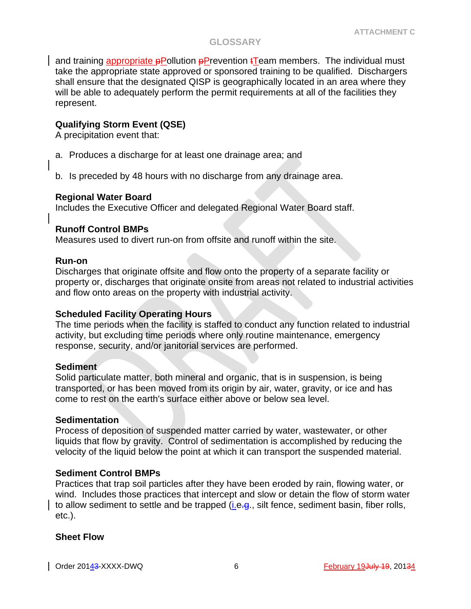and training appropriate  $p$ Pollution  $p$ Prevention  $t$ Team members. The individual must take the appropriate state approved or sponsored training to be qualified. Dischargers shall ensure that the designated QISP is geographically located in an area where they will be able to adequately perform the permit requirements at all of the facilities they represent.

# **Qualifying Storm Event (QSE)**

A precipitation event that:

- a. Produces a discharge for at least one drainage area; and
- b. Is preceded by 48 hours with no discharge from any drainage area.

#### **Regional Water Board**

Includes the Executive Officer and delegated Regional Water Board staff.

### **Runoff Control BMPs**

Measures used to divert run-on from offsite and runoff within the site.

#### **Run-on**

Discharges that originate offsite and flow onto the property of a separate facility or property or, discharges that originate onsite from areas not related to industrial activities and flow onto areas on the property with industrial activity.

# **Scheduled Facility Operating Hours**

The time periods when the facility is staffed to conduct any function related to industrial activity, but excluding time periods where only routine maintenance, emergency response, security, and/or janitorial services are performed.

#### **Sediment**

Solid particulate matter, both mineral and organic, that is in suspension, is being transported, or has been moved from its origin by air, water, gravity, or ice and has come to rest on the earth's surface either above or below sea level.

#### **Sedimentation**

Process of deposition of suspended matter carried by water, wastewater, or other liquids that flow by gravity. Control of sedimentation is accomplished by reducing the velocity of the liquid below the point at which it can transport the suspended material.

# **Sediment Control BMPs**

Practices that trap soil particles after they have been eroded by rain, flowing water, or wind. Includes those practices that intercept and slow or detain the flow of storm water to allow sediment to settle and be trapped (i.e.g., silt fence, sediment basin, fiber rolls, etc.).

#### **Sheet Flow**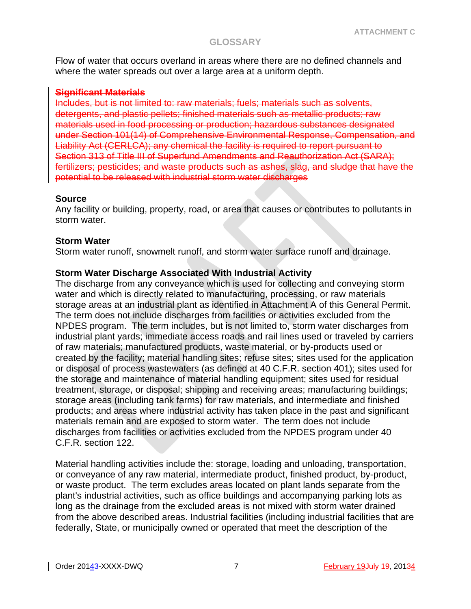Flow of water that occurs overland in areas where there are no defined channels and where the water spreads out over a large area at a uniform depth.

### **Significant Materials**

Includes, but is not limited to: raw materials; fuels; materials such as solvents, detergents, and plastic pellets; finished materials such as metallic products; raw materials used in food processing or production; hazardous substances designated under Section 101(14) of Comprehensive Environmental Response, Compensation, and Liability Act (CERLCA); any chemical the facility is required to report pursuant to Section 313 of Title III of Superfund Amendments and Reauthorization Act (SARA); fertilizers; pesticides; and waste products such as ashes, slag, and sludge that have the potential to be released with industrial storm water discharges

#### **Source**

Any facility or building, property, road, or area that causes or contributes to pollutants in storm water.

### **Storm Water**

Storm water runoff, snowmelt runoff, and storm water surface runoff and drainage.

### **Storm Water Discharge Associated With Industrial Activity**

The discharge from any conveyance which is used for collecting and conveying storm water and which is directly related to manufacturing, processing, or raw materials storage areas at an industrial plant as identified in Attachment A of this General Permit. The term does not include discharges from facilities or activities excluded from the NPDES program. The term includes, but is not limited to, storm water discharges from industrial plant yards; immediate access roads and rail lines used or traveled by carriers of raw materials; manufactured products, waste material, or by-products used or created by the facility; material handling sites; refuse sites; sites used for the application or disposal of process wastewaters (as defined at 40 C.F.R. section 401); sites used for the storage and maintenance of material handling equipment; sites used for residual treatment, storage, or disposal; shipping and receiving areas; manufacturing buildings; storage areas (including tank farms) for raw materials, and intermediate and finished products; and areas where industrial activity has taken place in the past and significant materials remain and are exposed to storm water. The term does not include discharges from facilities or activities excluded from the NPDES program under 40 C.F.R. section 122.

Material handling activities include the: storage, loading and unloading, transportation, or conveyance of any raw material, intermediate product, finished product, by-product, or waste product. The term excludes areas located on plant lands separate from the plant's industrial activities, such as office buildings and accompanying parking lots as long as the drainage from the excluded areas is not mixed with storm water drained from the above described areas. Industrial facilities (including industrial facilities that are federally, State, or municipally owned or operated that meet the description of the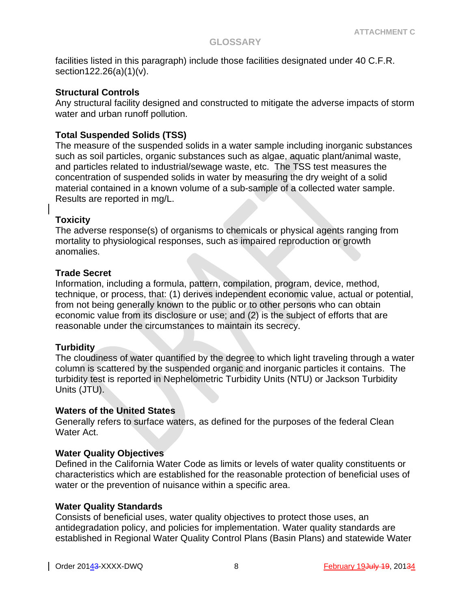facilities listed in this paragraph) include those facilities designated under 40 C.F.R. section122.26(a)(1)(v).

### **Structural Controls**

Any structural facility designed and constructed to mitigate the adverse impacts of storm water and urban runoff pollution.

# **Total Suspended Solids (TSS)**

The measure of the suspended solids in a water sample including inorganic substances such as soil particles, organic substances such as algae, aquatic plant/animal waste, and particles related to industrial/sewage waste, etc. The TSS test measures the concentration of suspended solids in water by measuring the dry weight of a solid material contained in a known volume of a sub-sample of a collected water sample. Results are reported in mg/L.

# **Toxicity**

The adverse response(s) of organisms to chemicals or physical agents ranging from mortality to physiological responses, such as impaired reproduction or growth anomalies.

# **Trade Secret**

Information, including a formula, pattern, compilation, program, device, method, technique, or process, that: (1) derives independent economic value, actual or potential, from not being generally known to the public or to other persons who can obtain economic value from its disclosure or use; and (2) is the subject of efforts that are reasonable under the circumstances to maintain its secrecy.

# **Turbidity**

The cloudiness of water quantified by the degree to which light traveling through a water column is scattered by the suspended organic and inorganic particles it contains. The turbidity test is reported in Nephelometric Turbidity Units (NTU) or Jackson Turbidity Units (JTU).

# **Waters of the United States**

Generally refers to surface waters, as defined for the purposes of the federal Clean Water Act.

# **Water Quality Objectives**

Defined in the California Water Code as limits or levels of water quality constituents or characteristics which are established for the reasonable protection of beneficial uses of water or the prevention of nuisance within a specific area.

# **Water Quality Standards**

Consists of beneficial uses, water quality objectives to protect those uses, an antidegradation policy, and policies for implementation. Water quality standards are established in Regional Water Quality Control Plans (Basin Plans) and statewide Water